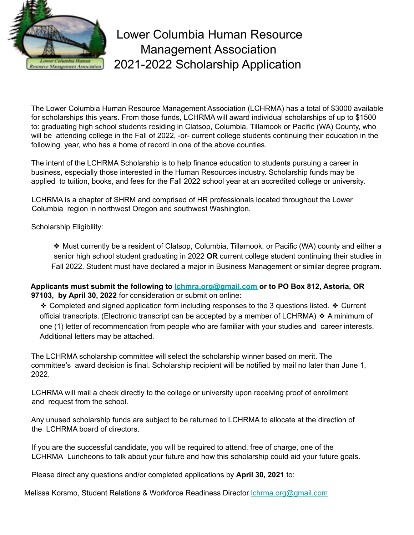

Lower Columbia Human Resource Management Association 2021-2022 Scholarship Application

The Lower Columbia Human Resource Management Association (LCHRMA) has a total of \$3000 available for scholarships this years. From those funds, LCHRMA will award individual scholarships of up to \$1500 to: graduating high school students residing in Clatsop, Columbia, Tillamook or Pacific (WA) County, who will be attending college in the Fall of 2022, -or- current college students continuing their education in the following year, who has a home of record in one of the above counties.

The intent of the LCHRMA Scholarship is to help finance education to students pursuing a career in business, especially those interested in the Human Resources industry. Scholarship funds may be applied to tuition, books, and fees for the Fall 2022 school year at an accredited college or university.

LCHRMA is a chapter of SHRM and comprised of HR professionals located throughout the Lower Columbia region in northwest Oregon and southwest Washington.

Scholarship Eligibility:

❖ Must currently be a resident of Clatsop, Columbia, Tillamook, or Pacific (WA) county and either a senior high school student graduating in 2022 **OR** current college student continuing their studies in Fall 2022. Student must have declared a major in Business Management or similar degree program.

**Applicants must submit the following to lchmra.org@gmail.com or to PO Box 812, Astoria, OR 97103, by April 30, 2022** for consideration or submit on online:

❖ Completed and signed application form including responses to the 3 questions listed. ❖ Current official transcripts. (Electronic transcript can be accepted by a member of LCHRMA) ❖ A minimum of one (1) letter of recommendation from people who are familiar with your studies and career interests. Additional letters may be attached.

The LCHRMA scholarship committee will select the scholarship winner based on merit. The committee's award decision is final. Scholarship recipient will be notified by mail no later than June 1, 2022.

LCHRMA will mail a check directly to the college or university upon receiving proof of enrollment and request from the school.

Any unused scholarship funds are subject to be returned to LCHRMA to allocate at the direction of the LCHRMA board of directors.

If you are the successful candidate, you will be required to attend, free of charge, one of the LCHRMA Luncheons to talk about your future and how this scholarship could aid your future goals.

Please direct any questions and/or completed applications by **April 30, 2021** to:

Melissa Korsmo, Student Relations & Workforce Readiness Director lchrma.org@gmail.com